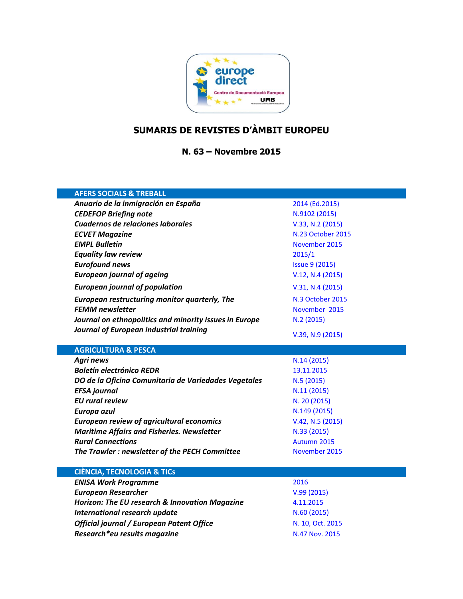

# **SUMARIS DE REVISTES D'ÀMBIT EUROPEU**

**N. 63 – Novembre 2015**

| <b>AFERS SOCIALS &amp; TREBALL</b>                     |                       |
|--------------------------------------------------------|-----------------------|
| Anuario de la inmigración en España                    | 2014 (Ed.2015)        |
| <b>CEDEFOP Briefing note</b>                           | N.9102 (2015)         |
| Cuadernos de relaciones laborales                      | V.33, N.2 (2015)      |
| <b>ECVET Magazine</b>                                  | N.23 October 2015     |
| <b>EMPL Bulletin</b>                                   | November 2015         |
| <b>Equality law review</b>                             | 2015/1                |
| <b>Eurofound news</b>                                  | <b>Issue 9 (2015)</b> |
| <b>European journal of ageing</b>                      | V.12, N.4 (2015)      |
| <b>European journal of population</b>                  | V.31, N.4 (2015)      |
| European restructuring monitor quarterly, The          | N.3 October 2015      |
| <b>FEMM newsletter</b>                                 | November 2015         |
| Journal on ethnopolitics and minority issues in Europe | N.2 (2015)            |
| Journal of European industrial training                | $V.39, N.9$ (2015)    |
| <b>AGRICULTURA &amp; PESCA</b>                         |                       |
| <b>Agri news</b>                                       | N.14 (2015)           |
| <b>Boletín electrónico REDR</b>                        | 13.11.2015            |
| DO de la Oficina Comunitaria de Variedades Vegetales   | N.5(2015)             |
| <b>EFSA</b> journal                                    | N.11(2015)            |
| <b>EU</b> rural review                                 | N. 20 (2015)          |
| Europa azul                                            | N.149 (2015)          |
| <b>European review of agricultural economics</b>       | V.42, N.5 (2015)      |
| <b>Maritime Affairs and Fisheries. Newsletter</b>      | N.33 (2015)           |
| <b>Rural Connections</b>                               | Autumn 2015           |
| The Trawler: newsletter of the PECH Committee          | November 2015         |
| <b>CIÈNCIA, TECNOLOGIA &amp; TICS</b>                  |                       |
| <b>ENISA Work Programme</b>                            | 2016                  |
| <b>European Researcher</b>                             | V.99(2015)            |
| Horizon: The EU research & Innovation Magazine         | 4.11.2015             |
| <b>International research update</b>                   | N.60(2015)            |
| Official journal / European Patent Office              | N. 10, Oct. 2015      |
| Research*eu results magazine                           | N.47 Nov. 2015        |
|                                                        |                       |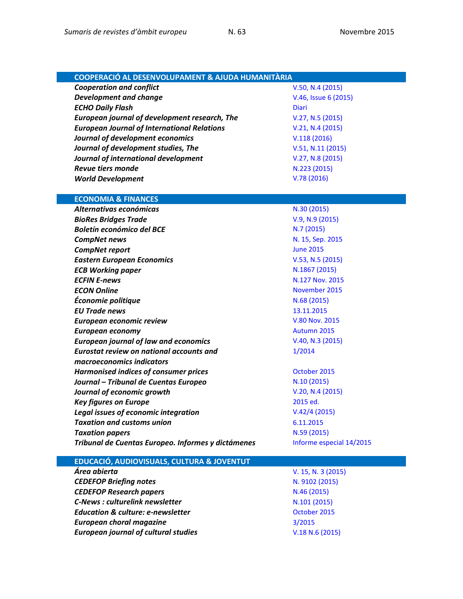| <b>COOPERACIÓ AL DESENVOLUPAMENT &amp; AJUDA HUMANITÀRIA</b> |                      |
|--------------------------------------------------------------|----------------------|
| <b>Cooperation and conflict</b>                              | V.50, N.4 (2015)     |
| <b>Development and change</b>                                | V.46, Issue 6 (2015) |
| <b>ECHO Daily Flash</b>                                      | <b>Diari</b>         |
| European journal of development research, The                | V.27, N.5 (2015)     |
| <b>European Journal of International Relations</b>           | V.21, N.4 (2015)     |
| Journal of development economics                             | V.118(2016)          |
| Journal of development studies, The                          | V.51, N.11 (2015)    |
| Journal of international development                         | V.27, N.8 (2015)     |
| <b>Revue tiers monde</b>                                     | N.223 (2015)         |
| <b>World Development</b>                                     | V.78(2016)           |
|                                                              |                      |
| <b>ECONOMIA &amp; FINANCES</b>                               |                      |
| Alternativas económicas                                      | N.30 (2015)          |
| <b>BioRes Bridges Trade</b>                                  | $V.9, N.9$ (2015)    |
| <b>Boletín económico del BCE</b>                             | N.7(2015)            |

**CompNet news** [N. 15, Sep. 2015](https://www.ecb.europa.eu/home/pdf/research/compnet/CompNet_Newsletter_15.pdf?eec1cb6ffeeb096fbb827a1e5be92b73) **CompNet report CompNet report [June 2015](https://www.ecb.europa.eu/home/pdf/research/compnet/CompNet_Report_25062015.pdf?cf98dd8da1c51681827d4397f276949e)** *Eastern European Economics* [V.53, N.5](http://www.scopus.com/results/results.url?sort=plf-f&src=s&imp=t&sid=76ED47454768106CF5DE9EDC9ED4C880.kqQeWtawXauCyC8ghhRGJg%3a30&sot=br&sdt=a&sl=64&s=SOURCE-ID%2819458%29+AND+VOLUME%2853%29+AND+ISSUE%285%29+AND+NOT+DOCTYPE%28ip%29&editSaveSearch=&txGid=0) (2015) *ECB Working paper* [N.1867](http://www.ecb.europa.eu/pub/pdf/scpwps/ecbwp1867.en.pdf) (2015) *ECFIN E-news* [N.127 Nov. 2015](http://ec.europa.eu/economy_finance/enewsletter/127_151113/) *ECON Online* 2015 *Économie politique*  $N.68 (2015)$  $N.68 (2015)$ *EU Trade news* [13.11.2015](http://trade.ec.europa.eu/eutn/psendmessage.htm?tranid=11769) **European economic review <br>
V.80 Nov. [2015](http://www.sciencedirect.com/science/journal/00142921) European economy [Autumn 2015](http://ec.europa.eu/economy_finance/eu/forecasts/2015_autumn_forecast_en.htm)** *European journal of law and economics* [V.40, N.3](http://link.springer.com/journal/10657/40/3/page/1) (2015)

*Harmonised indices of consumer prices* [October](http://ec.europa.eu/eurostat/en/web/products-data-in-focus/-/KS-QA-15-012) 2015 *Journal – Tribunal de Cuentas Europeo*  $N.10 (2015)$  $N.10 (2015)$ *Journal of economic growth*  $V.20, N.4$  (2015)

*Key figures on Europe* [2015](http://ec.europa.eu/eurostat/web/products-statistical-books/-/KS-EI-15-001) ed. *Legal issues of economic integration* [V.42/4](http://www.kluwerlawonline.com/toc.php?area=Journals&mode=bypub&level=5&values=Journals~~Legal+Issues+of+Economic+Integration~Volume+42+%282015%29) (2015) *Taxation and customs union* [6.11.2015](http://ec.europa.eu/taxation_customs/newsflashes/newsflash_20151106.htm) **Taxation papers N.59 [\(2015\)](http://ec.europa.eu/taxation_customs/resources/documents/taxation/gen_info/economic_analysis/tax_papers/taxation_paper_59.pdf)** 

| Tribunal de Cuentas Europeo. Informes y dictámenes | Informe especial 14/2015 |
|----------------------------------------------------|--------------------------|
| EDUCACIÓ, AUDIOVISUALS, CULTURA & JOVENTUT         |                          |

*Eurostat review on national accounts and* 

*macroeconomics indicators* 

*Área abierta* [V. 15, N. 3](http://revistas.ucm.es/index.php/ARAB/issue/current) (2015) **CEDEFOP Briefing notes [N. 9102](http://www.cedefop.europa.eu/en/publications-and-resources/publications/9102) (2015) CEDEFOP Research papers** N.46 [\(2015\)](http://www.cedefop.europa.eu/en/publications-and-resources/publications/5546) **C-News : culturelink newsletter** N.101 [\(2015\)](http://culturelink.org/news/c-news/2015/c-news-101.html) **Education & culture: e-newsletter CES COCTOBER 10000 Education & Culture: e-newsletter** *European choral magazine* [3/2015](http://www.europeanchoralassociation.org/fileadmin/redaktion/Dateien_Europa_Cantat/ECmagazine/ECmagazine15/ecmagazine_3_2015_final_for_web.pdf) **European journal of cultural studies [V.18 N.6](http://ecs.sagepub.com/content/current) (2015)** 

[1/2014](http://bookshop.europa.eu/is-bin/INTERSHOP.enfinity/WFS/EU-Bookshop-Site/en_GB/-/EUR/ViewPublication-Start?PublicationKey=KSGP13001)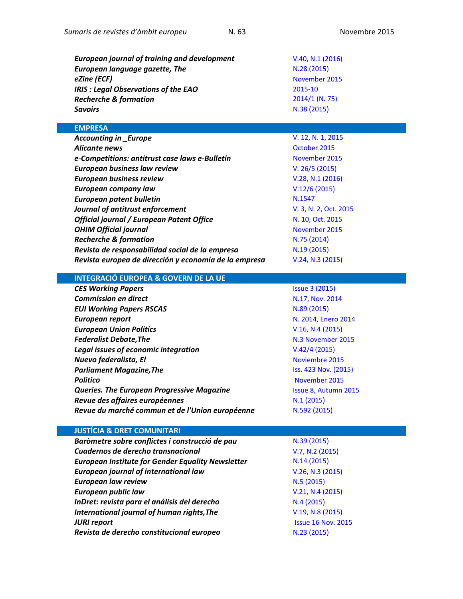| <b>European journal of training and development</b> | V.40, N.1 (2016) |
|-----------------------------------------------------|------------------|
| European language gazette, The                      | N.28(2015)       |
| eZine (ECF)                                         | November 2015    |
| IRIS : Legal Observations of the EAO                | 2015-10          |
| <b>Recherche &amp; formation</b>                    | $2014/1$ (N. 75) |
| Savoirs                                             | N.38 (2015)      |

### **EMPRESA**

| <b>Accounting in _Europe</b>                          | V. 12, N     |
|-------------------------------------------------------|--------------|
| <b>Alicante news</b>                                  | Octobe       |
| e-Competitions: antitrust case laws e-Bulletin        | <b>Novem</b> |
| <b>European business law review</b>                   | V. 26/5      |
| <b>European business review</b>                       | V.28, N      |
| <b>European company law</b>                           | V.12/6       |
| European patent bulletin                              | N.1547       |
| Journal of antitrust enforcement                      | V. 3, N.     |
| <b>Official journal / European Patent Office</b>      | N. 10, C     |
| <b>OHIM Official journal</b>                          | <b>Novem</b> |
| <b>Recherche &amp; formation</b>                      | N.75(2)      |
| Revista de responsabilidad social de la empresa       | N.19(2)      |
| Revista europea de dirección y economía de la empresa | V.24, N      |

# *Accounting in \_Europe* [V. 12, N. 1, 2015](http://www.tandfonline.com/toc/raie20/12/1)

**[October](https://oami.europa.eu/tunnel-web/secure/webdav/guest/document_library/contentPdfs/about_ohim/alicante_news/alicantenewsOctober2015_en.pdf) 2015** *e-Competitions: antitrust case laws e-Bulletin* [November](http://www.concurrences.com/Bulletin/?lang=en) 2015 *European business law review* [V. 26/5](http://www.kluwerlawonline.com/toc.php?area=Journals&mode=bypub&level=5&values=Journals~~European+Business+Law+Review~Volume+26+%282015%29) (2015) *[V.28, N.1](http://www.emeraldinsight.com/toc/ebr/28/1) (2016) European company law* [V.12/6](http://www.kluwerlawonline.com/toc.php?area=Journals&mode=bypub&level=5&values=Journals~~European+Company+Law~Volume+12+%282015%29) (2015) *Journal of antitrust enforcement* [V. 3, N. 2, Oct. 2015](http://antitrust.oxfordjournals.org/content/current) *Official journal / European Patent Office* [N. 10, Oct. 2015](http://www.epo.org/law-practice/legal-texts/official-journal/2015/10/2015-10.pdf) **[November 2015](https://oami.europa.eu/ohimportal/en/official-journal)** *Recherche & formation* [N.75 \(2014\)](http://www.cairn-int.info/journal-recherche-et-formation-2014-1.htm) *Revista de responsabilidad social de la empresa* N.19 [\(2015\)](http://www.luisvivesces.org/rse/19/index.html) *Revista europea de dirección y economía de la empresa* [V.24, N.](http://dialnet.unirioja.es/servlet/revista?codigo=1231)3 (2015)

# **INTEGRACIÓ EUROPEA & GOVERN DE LA UE**

| <b>CES Working Papers</b>                         | <b>Issue 3 (2015)</b> |
|---------------------------------------------------|-----------------------|
| <b>Commission en direct</b>                       | N.17, Nov. 2014       |
| <b>EUI Working Papers RSCAS</b>                   | N.89 (2015)           |
| European report                                   | N. 2014, Enero 2014   |
| <b>European Union Politics</b>                    | V.16, N.4 (2015)      |
| <b>Federalist Debate, The</b>                     | N.3 November 2015     |
| Legal issues of economic integration              | V.42/4(2015)          |
| Nuevo federalista, El                             | Noviembre 2015        |
| <b>Parliament Magazine, The</b>                   | Iss. 423 Nov. (2015)  |
| <b>Politico</b>                                   | November 2015         |
| <b>Queries. The European Progressive Magazine</b> | Issue 8, Autumn 2015  |
| Revue des affaires européennes                    | N.1(2015)             |
| Revue du marché commun et de l'Union européenne   | N.592 (2015)          |

### **JUSTÍCIA & DRET COMUNITARI**

| Baròmetre sobre conflictes i construcció de pau          |
|----------------------------------------------------------|
| Cuadernos de derecho transnacional                       |
| <b>European Institute for Gender Equality Newsletter</b> |
| <b>European journal of international law</b>             |
| <b>European law review</b>                               |
| <b>European public law</b>                               |
| InDret: revista para el análisis del derecho             |
| International journal of human rights, The               |
| <b>JURI report</b>                                       |
| Revista de derecho constitucional europeo                |

*Baròmetre sobre conflictes i construcció de pau* N.39 [\(2015\)](http://escolapau.uab.cat/img/programas/alerta/barometro/barometro39.pdf) *Cuadernos de derecho transnacional* [V.7, N.2](http://e-revistas.uc3m.es/index.php/CDT) (2015) *European Institute for Gender Equality Newsletter* N.14 [\(2015\)](http://eige.europa.eu/sites/default/files/documents/eige-newsletter-no14.pdf) *European journal of international law* [V.26, N.3](http://www.ejil.org/issue.php) (2015) **N.5 [\(2015\)](http://dialnet.unirioja.es/servlet/revista?codigo=573) [V.21, N.4](http://www.kluwerlawonline.com/toc.php?area=Journals&mode=bypub&level=5&values=Journals~~European+Public+Law~Volume+21+%282015%29) (2015)** *InDret: revista para el análisis del derecho* N.4 [\(2015\)](http://www.indret.com/es/) *International journal of human rights,The* [V.19, N.8](http://www.tandfonline.com/toc/fjhr20/current) (2015) *[Issue 16](https://polcms.secure.europarl.europa.eu/cmsdata/upload/eaa66c55-362a-47eb-bda2-ad1b85813185/JURI_Report_Nov2015v02.pdf) Nov. 2015 Revista de derecho constitucional europeo* N.23 [\(2015\)](http://www.ugr.es/~redce/REDCE23/ReDCEsumario23.htm)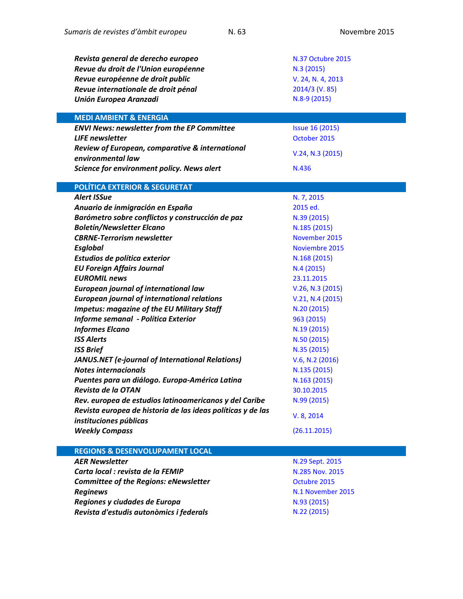| Revista general de derecho europeo                          | N.37 Octubre 2015      |
|-------------------------------------------------------------|------------------------|
| Revue du droit de l'Union européenne                        | N.3 (2015)             |
| Revue européenne de droit public                            | V. 24, N. 4, 2013      |
| Revue internationale de droit pénal                         | 2014/3 (V. 85)         |
| Unión Europea Aranzadi                                      | N.8-9 (2015)           |
| <b>MEDI AMBIENT &amp; ENERGIA</b>                           |                        |
| <b>ENVI News: newsletter from the EP Committee</b>          | <b>Issue 16 (2015)</b> |
| <b>LIFE</b> newsletter                                      | October 2015           |
| Review of European, comparative & international             | V.24, N.3 (2015)       |
| environmental law                                           |                        |
| Science for environment policy. News alert                  | N.436                  |
| <b>POLÍTICA EXTERIOR &amp; SEGURETAT</b>                    |                        |
| <b>Alert ISSue</b>                                          | N. 7, 2015             |
| Anuario de inmigración en España                            | 2015 ed.               |
| Barómetro sobre conflictos y construcción de paz            | N.39 (2015)            |
| <b>Boletín/Newsletter Elcano</b>                            | N.185 (2015)           |
| <b>CBRNE-Terrorism newsletter</b>                           | November 2015          |
| <b>Esglobal</b>                                             | Noviembre 2015         |
| Estudios de política exterior                               | N.168 (2015)           |
| <b>EU Foreign Affairs Journal</b>                           | N.4(2015)              |
| <b>EUROMIL news</b>                                         | 23.11.2015             |
| European journal of international law                       | V.26, N.3 (2015)       |
| <b>European journal of international relations</b>          | V.21, N.4 (2015)       |
| <b>Impetus: magazine of the EU Military Staff</b>           | N.20 (2015)            |
| Informe semanal - Política Exterior                         | 963 (2015)             |
| <b>Informes Elcano</b>                                      | N.19(2015)             |
| <b>ISS Alerts</b>                                           | N.50(2015)             |
| <b>ISS Brief</b>                                            | N.35 (2015)            |
| JANUS.NET (e-journal of International Relations)            | V.6, N.2 (2016)        |
| <b>Notes internacionals</b>                                 | N.135 (2015)           |
| Puentes para un diálogo. Europa-América Latina              | N.163 (2015)           |
| Revista de la OTAN                                          | 30.10.2015             |
| Rev. europea de estudios latinoamericanos y del Caribe      | N.99 (2015)            |
| Revista europea de historia de las ideas políticas y de las | V. 8, 2014             |
| instituciones públicas                                      |                        |
| <b>Weekly Compass</b>                                       | (26.11.2015)           |
| <b>REGIONS &amp; DESENVOLUPAMENT LOCAL</b>                  |                        |
|                                                             |                        |

| <b>AER Newsletter</b>                        |
|----------------------------------------------|
| Carta local : revista de la FEMIP            |
| <b>Committee of the Regions: eNewsletter</b> |
| <b>Reginews</b>                              |
| Regiones y ciudades de Europa                |
| Revista d'estudis autonòmics i federals      |
|                                              |

*AER Newsletter* N.29 [Sept.](http://aer.eu/book/newsletter-n29-sep-2015/) 2015 *Carta local : revista de la FEMIP* [N.285 Nov.](http://www.cartalocal.es/CartaLocal/Front/Version_impresa/VersionImpresa/_sYcniRvuy5l6V01YGndaVwEQjQIMFoF_01tZcZbjMmo) 2015 *Committee of the Regions: eNewsletter* [Octubre](http://cor.europa.eu/en/news/Pages/enewsletter.aspx) 2015 *Reginews* [N.1 November](https://polcms.secure.europarl.europa.eu/cmsdata/upload/fd07fd49-22a9-4d49-92b2-12314a4687fc/REGI%20News_8_Issue%201.pdf) 2015 *Regiones y ciudades de Europa* N.93 [\(2015\)](http://cor.europa.eu/es/news/regions-and-cities-of-europe/Pages/regions-and-cities-93-2015.aspx) *Revista d'estudis autonòmics i federals* [N.22 \(2015\)](http://dialnet.unirioja.es/servlet/revista?codigo=7191)